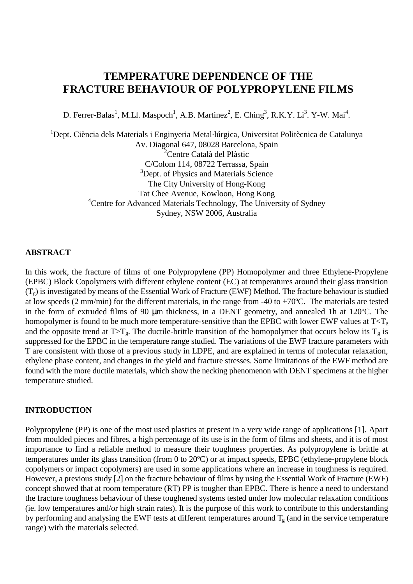# **TEMPERATURE DEPENDENCE OF THE FRACTURE BEHAVIOUR OF POLYPROPYLENE FILMS**

D. Ferrer-Balas<sup>1</sup>, M.Ll. Maspoch<sup>1</sup>, A.B. Martinez<sup>2</sup>, E. Ching<sup>3</sup>, R.K.Y. Li<sup>3</sup>. Y-W. Mai<sup>4</sup>.

<sup>1</sup>Dept. Ciència dels Materials i Enginyeria Metal·lúrgica, Universitat Politècnica de Catalunya Av. Diagonal 647, 08028 Barcelona, Spain <sup>2</sup>Centre Català del Plàstic C/Colom 114, 08722 Terrassa, Spain <sup>3</sup>Dept. of Physics and Materials Science The City University of Hong-Kong Tat Chee Avenue, Kowloon, Hong Kong <sup>4</sup>Centre for Advanced Materials Technology, The University of Sydney Sydney, NSW 2006, Australia

### **ABSTRACT**

In this work, the fracture of films of one Polypropylene (PP) Homopolymer and three Ethylene-Propylene (EPBC) Block Copolymers with different ethylene content (EC) at temperatures around their glass transition  $(T_g)$  is investigated by means of the Essential Work of Fracture (EWF) Method. The fracture behaviour is studied at low speeds (2 mm/min) for the different materials, in the range from -40 to +70ºC. The materials are tested in the form of extruded films of 90 µm thickness, in a DENT geometry, and annealed 1h at 120°C. The homopolymer is found to be much more temperature-sensitive than the EPBC with lower EWF values at  $T < T<sub>g</sub>$ and the opposite trend at  $T>T_{g}$ . The ductile-brittle transition of the homopolymer that occurs below its  $T_{g}$  is suppressed for the EPBC in the temperature range studied. The variations of the EWF fracture parameters with T are consistent with those of a previous study in LDPE, and are explained in terms of molecular relaxation, ethylene phase content, and changes in the yield and fracture stresses. Some limitations of the EWF method are found with the more ductile materials, which show the necking phenomenon with DENT specimens at the higher temperature studied.

### **INTRODUCTION**

Polypropylene (PP) is one of the most used plastics at present in a very wide range of applications [1]. Apart from moulded pieces and fibres, a high percentage of its use is in the form of films and sheets, and it is of most importance to find a reliable method to measure their toughness properties. As polypropylene is brittle at temperatures under its glass transition (from 0 to 20ºC) or at impact speeds, EPBC (ethylene-propylene block copolymers or impact copolymers) are used in some applications where an increase in toughness is required. However, a previous study [2] on the fracture behaviour of films by using the Essential Work of Fracture (EWF) concept showed that at room temperature (RT) PP is tougher than EPBC. There is hence a need to understand the fracture toughness behaviour of these toughened systems tested under low molecular relaxation conditions (ie. low temperatures and/or high strain rates). It is the purpose of this work to contribute to this understanding by performing and analysing the EWF tests at different temperatures around  $T_{g}$  (and in the service temperature range) with the materials selected.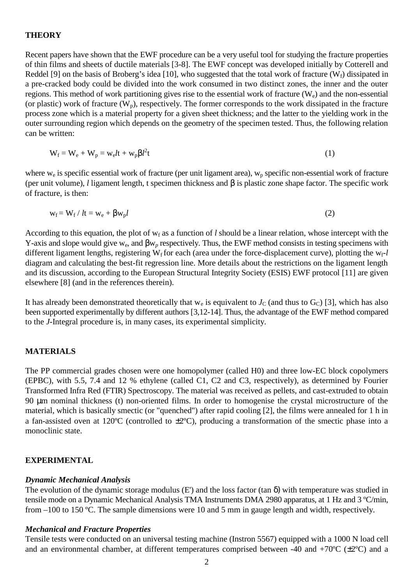## **THEORY**

Recent papers have shown that the EWF procedure can be a very useful tool for studying the fracture properties of thin films and sheets of ductile materials [3-8]. The EWF concept was developed initially by Cotterell and Reddel [9] on the basis of Broberg's idea [10], who suggested that the total work of fracture  $(W_f)$  dissipated in a pre-cracked body could be divided into the work consumed in two distinct zones, the inner and the outer regions. This method of work partitioning gives rise to the essential work of fracture  $(W_e)$  and the non-essential (or plastic) work of fracture  $(W_n)$ , respectively. The former corresponds to the work dissipated in the fracture process zone which is a material property for a given sheet thickness; and the latter to the yielding work in the outer surrounding region which depends on the geometry of the specimen tested. Thus, the following relation can be written:

$$
W_f = W_e + W_p = w_e l t + w_p \beta l^2 t \tag{1}
$$

where  $w_e$  is specific essential work of fracture (per unit ligament area),  $w_p$  specific non-essential work of fracture (per unit volume), *l* ligament length, t specimen thickness and β is plastic zone shape factor. The specific work of fracture, is then:

$$
w_f = W_f / l t = w_e + \beta w_p l \tag{2}
$$

According to this equation, the plot of  $w_f$  as a function of *l* should be a linear relation, whose intercept with the Y-axis and slope would give we, and βw*p* respectively. Thus, the EWF method consists in testing specimens with different ligament lengths, registering  $W_f$  for each (area under the force-displacement curve), plotting the  $w_f$ -*l* diagram and calculating the best-fit regression line. More details about the restrictions on the ligament length and its discussion, according to the European Structural Integrity Society (ESIS) EWF protocol [11] are given elsewhere [8] (and in the references therein).

It has already been demonstrated theoretically that  $w_e$  is equivalent to  $J_C$  (and thus to  $G_C$ ) [3], which has also been supported experimentally by different authors [3,12-14]. Thus, the advantage of the EWF method compared to the *J*-Integral procedure is, in many cases, its experimental simplicity.

### **MATERIALS**

The PP commercial grades chosen were one homopolymer (called H0) and three low-EC block copolymers (EPBC), with 5.5, 7.4 and 12 % ethylene (called C1, C2 and C3, respectively), as determined by Fourier Transformed Infra Red (FTIR) Spectroscopy. The material was received as pellets, and cast-extruded to obtain 90 µm nominal thickness (t) non-oriented films. In order to homogenise the crystal microstructure of the material, which is basically smectic (or "quenched") after rapid cooling [2], the films were annealed for 1 h in a fan-assisted oven at 120 $^{\circ}$ C (controlled to  $\pm 2^{\circ}$ C), producing a transformation of the smectic phase into a monoclinic state.

### **EXPERIMENTAL**

#### *Dynamic Mechanical Analysis*

The evolution of the dynamic storage modulus (E') and the loss factor (tan δ) with temperature was studied in tensile mode on a Dynamic Mechanical Analysis TMA Instruments DMA 2980 apparatus, at 1 Hz and 3 ºC/min, from –100 to 150 ºC. The sample dimensions were 10 and 5 mm in gauge length and width, respectively.

#### *Mechanical and Fracture Properties*

Tensile tests were conducted on an universal testing machine (Instron 5567) equipped with a 1000 N load cell and an environmental chamber, at different temperatures comprised between -40 and +70 $^{\circ}$ C ( $\pm$ 2 $^{\circ}$ C) and a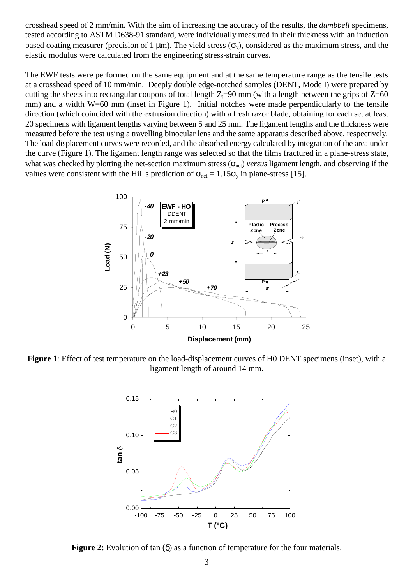crosshead speed of 2 mm/min. With the aim of increasing the accuracy of the results, the *dumbbell* specimens, tested according to ASTM D638-91 standard, were individually measured in their thickness with an induction based coating measurer (precision of 1 µm). The yield stress  $(\sigma_v)$ , considered as the maximum stress, and the elastic modulus were calculated from the engineering stress-strain curves.

The EWF tests were performed on the same equipment and at the same temperature range as the tensile tests at a crosshead speed of 10 mm/min. Deeply double edge-notched samples (DENT, Mode I) were prepared by cutting the sheets into rectangular coupons of total length  $Z_t=90$  mm (with a length between the grips of  $Z=60$ mm) and a width W=60 mm (inset in Figure 1). Initial notches were made perpendicularly to the tensile direction (which coincided with the extrusion direction) with a fresh razor blade, obtaining for each set at least 20 specimens with ligament lengths varying between 5 and 25 mm. The ligament lengths and the thickness were measured before the test using a travelling binocular lens and the same apparatus described above, respectively. The load-displacement curves were recorded, and the absorbed energy calculated by integration of the area under the curve (Figure 1). The ligament length range was selected so that the films fractured in a plane-stress state, what was checked by plotting the net-section maximum stress  $(\sigma_{net})$  *versus* ligament length, and observing if the values were consistent with the Hill's prediction of  $\sigma_{\text{net}} = 1.15 \sigma_{\text{v}}$  in plane-stress [15].



**Figure 1**: Effect of test temperature on the load-displacement curves of H0 DENT specimens (inset), with a ligament length of around 14 mm.



**Figure 2:** Evolution of tan (δ) as a function of temperature for the four materials.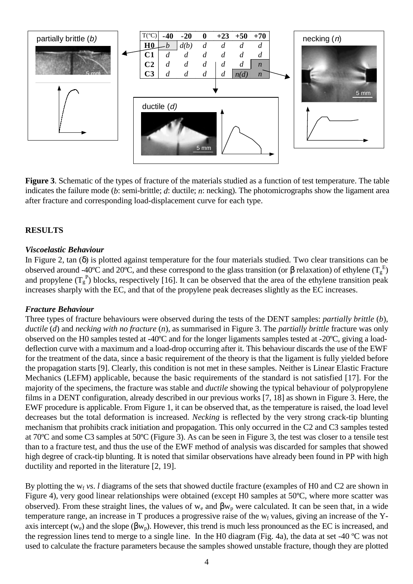

**Figure 3**. Schematic of the types of fracture of the materials studied as a function of test temperature. The table indicates the failure mode (*b*: semi-brittle; *d*: ductile; *n*: necking). The photomicrographs show the ligament area after fracture and corresponding load-displacement curve for each type.

# **RESULTS**

# *Viscoelastic Behaviour*

In Figure 2, tan (δ) is plotted against temperature for the four materials studied. Two clear transitions can be observed around -40°C and 20°C, and these correspond to the glass transition (or β relaxation) of ethylene ( $T_g^E$ ) and propylene  $(T_g^P)$  blocks, respectively [16]. It can be observed that the area of the ethylene transition peak increases sharply with the EC, and that of the propylene peak decreases slightly as the EC increases.

# *Fracture Behaviour*

Three types of fracture behaviours were observed during the tests of the DENT samples: *partially brittle* (*b*), *ductile* (*d*) and *necking with no fracture* (*n*), as summarised in Figure 3. The *partially brittle* fracture was only observed on the H0 samples tested at -40ºC and for the longer ligaments samples tested at -20ºC, giving a loaddeflection curve with a maximum and a load-drop occurring after it. This behaviour discards the use of the EWF for the treatment of the data, since a basic requirement of the theory is that the ligament is fully yielded before the propagation starts [9]. Clearly, this condition is not met in these samples. Neither is Linear Elastic Fracture Mechanics (LEFM) applicable, because the basic requirements of the standard is not satisfied [17]. For the majority of the specimens, the fracture was stable and *ductile* showing the typical behaviour of polypropylene films in a DENT configuration, already described in our previous works [7, 18] as shown in Figure 3. Here, the EWF procedure is applicable. From Figure 1, it can be observed that, as the temperature is raised, the load level decreases but the total deformation is increased. *Necking* is reflected by the very strong crack-tip blunting mechanism that prohibits crack initiation and propagation. This only occurred in the C2 and C3 samples tested at 70ºC and some C3 samples at 50ºC (Figure 3). As can be seen in Figure 3, the test was closer to a tensile test than to a fracture test, and thus the use of the EWF method of analysis was discarded for samples that showed high degree of crack-tip blunting. It is noted that similar observations have already been found in PP with high ductility and reported in the literature [2, 19].

By plotting the w<sub>f</sub> *vs. l* diagrams of the sets that showed ductile fracture (examples of H0 and C2 are shown in Figure 4), very good linear relationships were obtained (except H0 samples at 50ºC, where more scatter was observed). From these straight lines, the values of  $w_e$  and  $\beta w_p$  were calculated. It can be seen that, in a wide temperature range, an increase in T produces a progressive raise of the  $w_f$  values, giving an increase of the Yaxis intercept (w<sub>e</sub>) and the slope ( $\beta w_p$ ). However, this trend is much less pronounced as the EC is increased, and the regression lines tend to merge to a single line. In the H0 diagram (Fig. 4a), the data at set -40 ºC was not used to calculate the fracture parameters because the samples showed unstable fracture, though they are plotted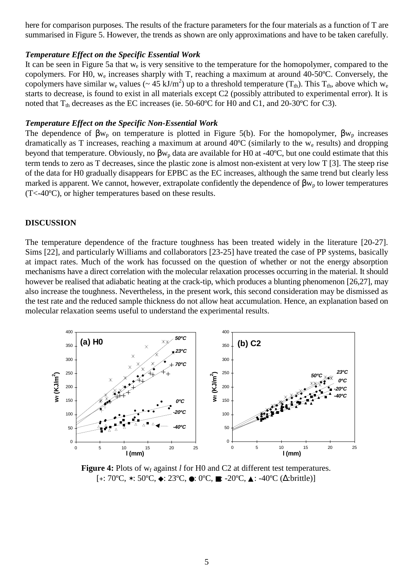here for comparison purposes. The results of the fracture parameters for the four materials as a function of T are summarised in Figure 5. However, the trends as shown are only approximations and have to be taken carefully.

### *Temperature Effect on the Specific Essential Work*

It can be seen in Figure 5a that  $w_e$  is very sensitive to the temperature for the homopolymer, compared to the copolymers. For H0, we increases sharply with T, reaching a maximum at around 40-50ºC. Conversely, the copolymers have similar w<sub>e</sub> values (~ 45 kJ/m<sup>2</sup>) up to a threshold temperature (T<sub>th</sub>). This T<sub>th</sub>, above which w<sub>e</sub> starts to decrease, is found to exist in all materials except C2 (possibly attributed to experimental error). It is noted that  $T_{th}$  decreases as the EC increases (ie. 50-60°C for H0 and C1, and 20-30°C for C3).

#### *Temperature Effect on the Specific Non-Essential Work*

The dependence of  $\beta w_p$  on temperature is plotted in Figure 5(b). For the homopolymer,  $\beta w_p$  increases dramatically as T increases, reaching a maximum at around  $40^{\circ}$ C (similarly to the w<sub>e</sub> results) and dropping beyond that temperature. Obviously, no  $\beta w_p$  data are available for H0 at -40°C, but one could estimate that this term tends to zero as T decreases, since the plastic zone is almost non-existent at very low T [3]. The steep rise of the data for H0 gradually disappears for EPBC as the EC increases, although the same trend but clearly less marked is apparent. We cannot, however, extrapolate confidently the dependence of  $\beta w_p$  to lower temperatures (T<-40ºC), or higher temperatures based on these results.

### **DISCUSSION**

The temperature dependence of the fracture toughness has been treated widely in the literature [20-27]. Sims [22], and particularly Williams and collaborators [23-25] have treated the case of PP systems, basically at impact rates. Much of the work has focussed on the question of whether or not the energy absorption mechanisms have a direct correlation with the molecular relaxation processes occurring in the material. It should however be realised that adiabatic heating at the crack-tip, which produces a blunting phenomenon [26,27], may also increase the toughness. Nevertheless, in the present work, this second consideration may be dismissed as the test rate and the reduced sample thickness do not allow heat accumulation. Hence, an explanation based on molecular relaxation seems useful to understand the experimental results.



**Figure 4:** Plots of  $w_f$  against *l* for H0 and C2 at different test temperatures. [**+**: 70ºC, ✶: 50ºC, ◆: 23ºC, ●: 0ºC, ■: -20ºC, ▲: -40ºC (∆:brittle)]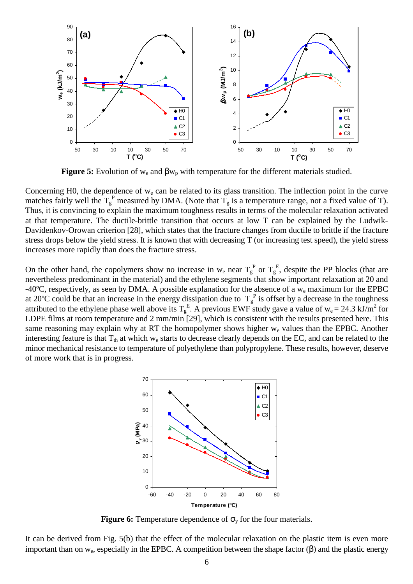

**Figure 5:** Evolution of  $w_e$  and  $\beta w_p$  with temperature for the different materials studied.

Concerning H0, the dependence of  $w_e$  can be related to its glass transition. The inflection point in the curve matches fairly well the  $T_g^P$  measured by DMA. (Note that  $T_g$  is a temperature range, not a fixed value of T). Thus, it is convincing to explain the maximum toughness results in terms of the molecular relaxation activated at that temperature. The ductile-brittle transition that occurs at low T can be explained by the Ludwik-Davidenkov-Orowan criterion [28], which states that the fracture changes from ductile to brittle if the fracture stress drops below the yield stress. It is known that with decreasing T (or increasing test speed), the yield stress increases more rapidly than does the fracture stress.

On the other hand, the copolymers show no increase in w<sub>e</sub> near  $T_g^P$  or  $T_g^E$ , despite the PP blocks (that are nevertheless predominant in the material) and the ethylene segments that show important relaxation at 20 and -40ºC, respectively, as seen by DMA. A possible explanation for the absence of a we maximum for the EPBC at 20°C could be that an increase in the energy dissipation due to  $T_g^{\ P}$  is offset by a decrease in the toughness attributed to the ethylene phase well above its  $T_g^E$ . A previous EWF study gave a value of  $w_e = 24.3 \text{ kJ/m}^2$  for LDPE films at room temperature and 2 mm/min [29], which is consistent with the results presented here. This same reasoning may explain why at RT the homopolymer shows higher  $w_e$  values than the EPBC. Another interesting feature is that  $T_{th}$  at which w<sub>e</sub> starts to decrease clearly depends on the EC, and can be related to the minor mechanical resistance to temperature of polyethylene than polypropylene. These results, however, deserve of more work that is in progress.



**Figure 6:** Temperature dependence of  $\sigma_y$  for the four materials.

It can be derived from Fig. 5(b) that the effect of the molecular relaxation on the plastic item is even more important than on  $w_e$ , especially in the EPBC. A competition between the shape factor ( $\beta$ ) and the plastic energy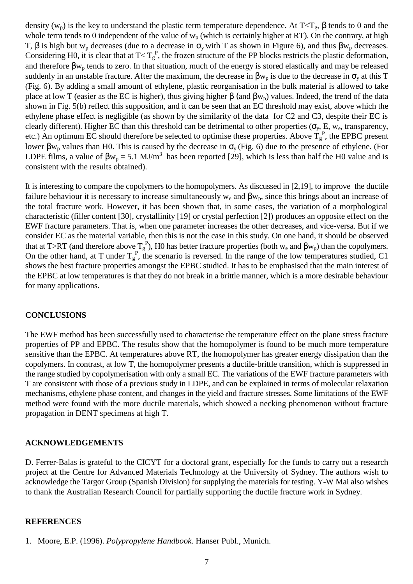density (w<sub>p</sub>) is the key to understand the plastic term temperature dependence. At T<T<sub>g</sub>,  $\beta$  tends to 0 and the whole term tends to 0 independent of the value of  $w_p$  (which is certainly higher at RT). On the contrary, at high T,  $\beta$  is high but w<sub>p</sub> decreases (due to a decrease in  $\sigma_v$  with T as shown in Figure 6), and thus  $\beta w_p$  decreases. Considering H0, it is clear that at  $T < T_g^P$ , the frozen structure of the PP blocks restricts the plastic deformation, and therefore  $\beta w_p$  tends to zero. In that situation, much of the energy is stored elastically and may be released suddenly in an unstable fracture. After the maximum, the decrease in  $\beta w_p$  is due to the decrease in  $\sigma_y$  at this T (Fig. 6). By adding a small amount of ethylene, plastic reorganisation in the bulk material is allowed to take place at low T (easier as the EC is higher), thus giving higher  $\beta$  (and  $\beta w_p$ ) values. Indeed, the trend of the data shown in Fig. 5(b) reflect this supposition, and it can be seen that an EC threshold may exist, above which the ethylene phase effect is negligible (as shown by the similarity of the data for C2 and C3, despite their EC is clearly different). Higher EC than this threshold can be detrimental to other properties ( $\sigma_v$ , E, w<sub>e</sub>, transparency, etc.) An optimum EC should therefore be selected to optimise these properties. Above  $\dot{T}_g^P$ , the EPBC present lower βw<sub>p</sub> values than H0. This is caused by the decrease in  $\sigma_y$  (Fig. 6) due to the presence of ethylene. (For LDPE films, a value of  $\beta w_p = 5.1 \text{ MJ/m}^3$  has been reported [29], which is less than half the H0 value and is consistent with the results obtained).

It is interesting to compare the copolymers to the homopolymers. As discussed in [2,19], to improve the ductile failure behaviour it is necessary to increase simultaneously  $w_e$  and  $\beta w_p$ , since this brings about an increase of the total fracture work. However, it has been shown that, in some cases, the variation of a morphological characteristic (filler content [30], crystallinity [19] or crystal perfection [2]) produces an opposite effect on the EWF fracture parameters. That is, when one parameter increases the other decreases, and vice-versa. But if we consider EC as the material variable, then this is not the case in this study. On one hand, it should be observed that at T>RT (and therefore above  $T_g^P$ ), H0 has better fracture properties (both  $w_e$  and  $\beta w_p$ ) than the copolymers. On the other hand, at T under  $T_g^P$ , the scenario is reversed. In the range of the low temperatures studied, C1 shows the best fracture properties amongst the EPBC studied. It has to be emphasised that the main interest of the EPBC at low temperatures is that they do not break in a brittle manner, which is a more desirable behaviour for many applications.

## **CONCLUSIONS**

The EWF method has been successfully used to characterise the temperature effect on the plane stress fracture properties of PP and EPBC. The results show that the homopolymer is found to be much more temperature sensitive than the EPBC. At temperatures above RT, the homopolymer has greater energy dissipation than the copolymers. In contrast, at low T, the homopolymer presents a ductile-brittle transition, which is suppressed in the range studied by copolymerisation with only a small EC. The variations of the EWF fracture parameters with T are consistent with those of a previous study in LDPE, and can be explained in terms of molecular relaxation mechanisms, ethylene phase content, and changes in the yield and fracture stresses. Some limitations of the EWF method were found with the more ductile materials, which showed a necking phenomenon without fracture propagation in DENT specimens at high T.

### **ACKNOWLEDGEMENTS**

D. Ferrer-Balas is grateful to the CICYT for a doctoral grant, especially for the funds to carry out a research project at the Centre for Advanced Materials Technology at the University of Sydney. The authors wish to acknowledge the Targor Group (Spanish Division) for supplying the materials for testing. Y-W Mai also wishes to thank the Australian Research Council for partially supporting the ductile fracture work in Sydney.

### **REFERENCES**

<sup>1.</sup> Moore, E.P. (1996). *Polypropylene Handbook.* Hanser Publ., Munich.